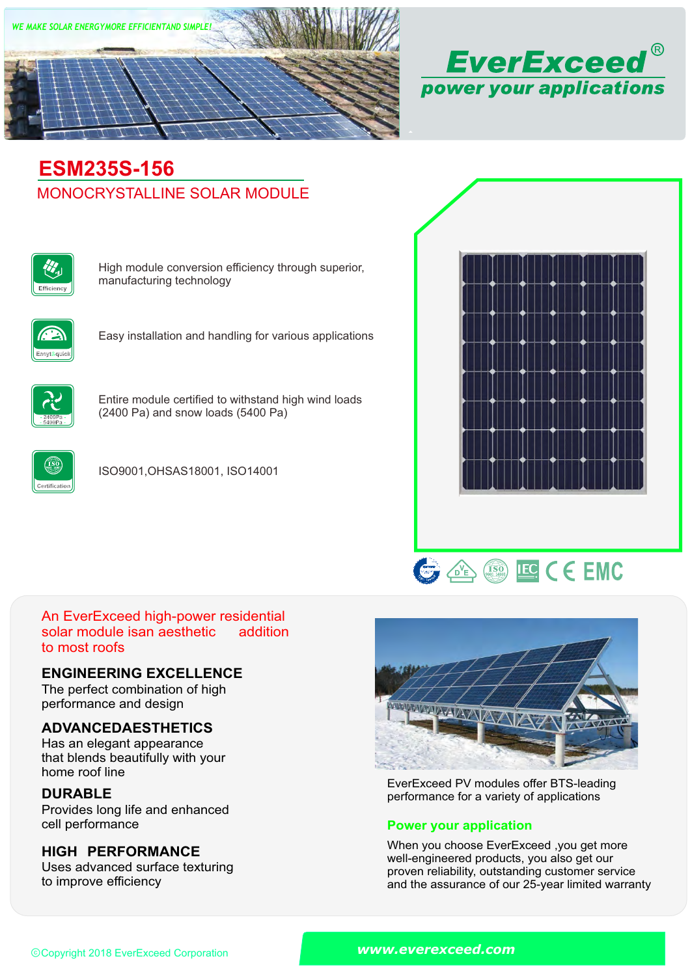



# MONOCRYSTALLINE SOLAR MODULE **ESM235S-156**



High module conversion efficiency through superior, manufacturing technology



Easy installation and handling for various applications



Entire module certified to withstand high wind loads (2400 Pa) and snow loads (5400 Pa)



ISO9001,OHSAS18001, ISO14001





#### An EverExceed high-power residential solar module isan aesthetic to most roofs addition

### **ENGINEERING EXCELLENCE**

The perfect combination of high performance and design

## **ADVANCEDAESTHETICS**

Has an elegant appearance that blends beautifully with your home roof line

## **DURABLE**

Provides long life and enhanced<br>cell performance

## **HIGH PERFORMANCE**

Uses advanced surface texturing to improve efficiency



EverExceed PV modules offer BTS-leading performance for a variety of applications

### **Power your application**

When you choose EverExceed ,you get more well-engineered products, you also get our proven reliability, outstanding customer service and the assurance of our 25-year limited warranty